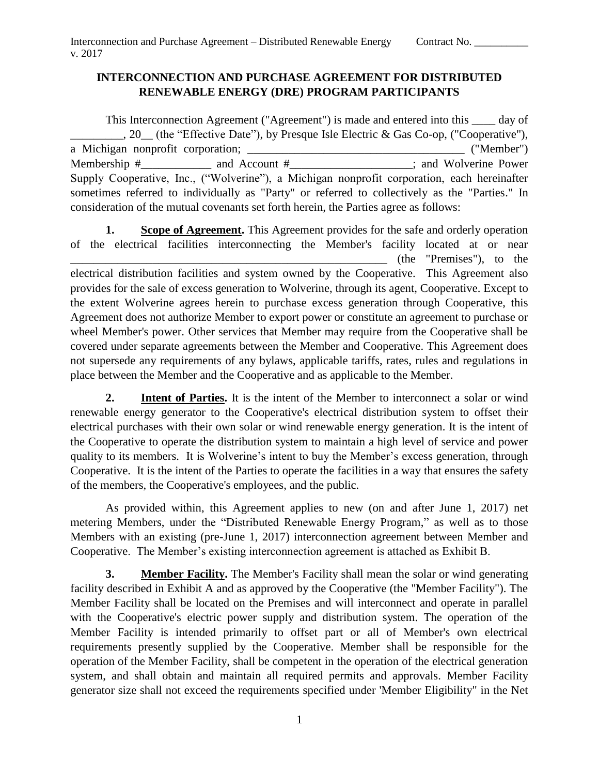### **INTERCONNECTION AND PURCHASE AGREEMENT FOR DISTRIBUTED RENEWABLE ENERGY (DRE) PROGRAM PARTICIPANTS**

 This Interconnection Agreement ("Agreement") is made and entered into this \_\_\_\_ day of \_\_\_\_\_\_\_\_\_, 20\_\_ (the "Effective Date"), by Presque Isle Electric & Gas Co-op, ("Cooperative"), consideration of the mutual covenants set forth herein, the Parties agree as follows: a Michigan nonprofit corporation; \_\_\_\_\_\_\_\_\_\_\_\_\_\_\_\_\_\_\_\_\_\_\_\_\_\_\_\_\_\_\_\_\_\_\_\_\_ ("Member") Membership  $\#$  and Account  $\#$  and  $\#$  and Wolverine Power Supply Cooperative, Inc., ("Wolverine"), a Michigan nonprofit corporation, each hereinafter sometimes referred to individually as "Party" or referred to collectively as the "Parties." In

**1.**  \_\_\_\_\_\_\_\_\_\_\_\_\_\_\_\_\_\_\_\_\_\_\_\_\_\_\_\_\_\_\_\_\_\_\_\_\_\_\_\_\_\_\_\_\_\_\_\_\_\_\_\_\_\_ (the "Premises"), to the electrical distribution facilities and system owned by the Cooperative. This Agreement also the extent Wolverine agrees herein to purchase excess generation through Cooperative, this wheel Member's power. Other services that Member may require from the Cooperative shall be not supersede any requirements of any bylaws, applicable tariffs, rates, rules and regulations in **Scope of Agreement.** This Agreement provides for the safe and orderly operation of the electrical facilities interconnecting the Member's facility located at or near provides for the sale of excess generation to Wolverine, through its agent, Cooperative. Except to Agreement does not authorize Member to export power or constitute an agreement to purchase or covered under separate agreements between the Member and Cooperative. This Agreement does place between the Member and the Cooperative and as applicable to the Member.

**2.** Intent of Parties. It is the intent of the Member to interconnect a solar or wind renewable energy generator to the Cooperative's electrical distribution system to offset their electrical purchases with their own solar or wind renewable energy generation. It is the intent of the Cooperative to operate the distribution system to maintain a high level of service and power quality to its members. It is Wolverine's intent to buy the Member's excess generation, through Cooperative. It is the intent of the Parties to operate the facilities in a way that ensures the safety of the members, the Cooperative's employees, and the public.

 As provided within, this Agreement applies to new (on and after June 1, 2017) net metering Members, under the "Distributed Renewable Energy Program," as well as to those Members with an existing (pre-June 1, 2017) interconnection agreement between Member and Cooperative. The Member's existing interconnection agreement is attached as Exhibit B.

**3.** Member Facility. The Member's Facility shall mean the solar or wind generating facility described in Exhibit A and as approved by the Cooperative (the "Member Facility"). The Member Facility shall be located on the Premises and will interconnect and operate in parallel Member Facility is intended primarily to offset part or all of Member's own electrical requirements presently supplied by the Cooperative. Member shall be responsible for the operation of the Member Facility, shall be competent in the operation of the electrical generation system, and shall obtain and maintain all required permits and approvals. Member Facility generator size shall not exceed the requirements specified under 'Member Eligibility" in the Net with the Cooperative's electric power supply and distribution system. The operation of the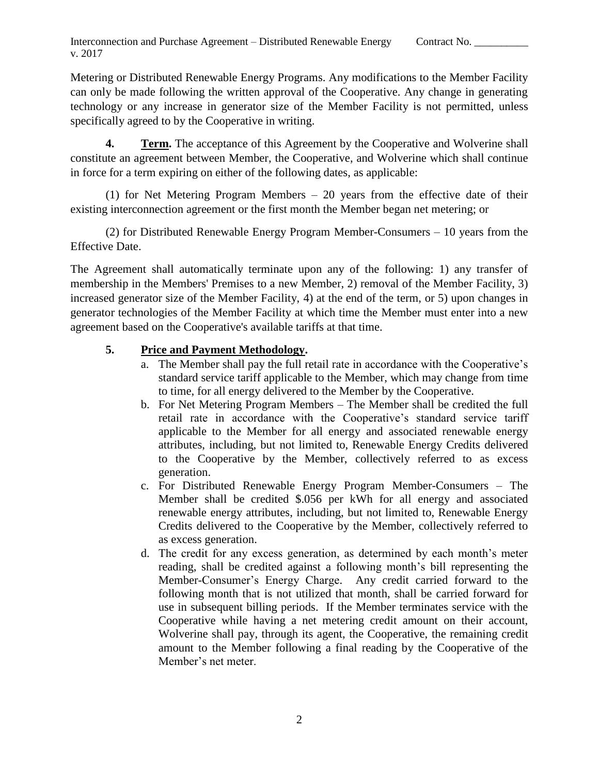Metering or Distributed Renewable Energy Programs. Any modifications to the Member Facility can only be made following the written approval of the Cooperative. Any change in generating technology or any increase in generator size of the Member Facility is not permitted, unless specifically agreed to by the Cooperative in writing.

**4.** Term. The acceptance of this Agreement by the Cooperative and Wolverine shall constitute an agreement between Member, the Cooperative, and Wolverine which shall continue in force for a term expiring on either of the following dates, as applicable:

(1) for Net Metering Program Members – 20 years from the effective date of their existing interconnection agreement or the first month the Member began net metering; or

 (2) for Distributed Renewable Energy Program Member-Consumers – 10 years from the Effective Date.

 The Agreement shall automatically terminate upon any of the following: 1) any transfer of membership in the Members' Premises to a new Member, 2) removal of the Member Facility, 3) increased generator size of the Member Facility, 4) at the end of the term, or 5) upon changes in generator technologies of the Member Facility at which time the Member must enter into a new agreement based on the Cooperative's available tariffs at that time.

# **5. Price and Payment Methodology.**

- a. The Member shall pay the full retail rate in accordance with the Cooperative's standard service tariff applicable to the Member, which may change from time to time, for all energy delivered to the Member by the Cooperative.
- b. For Net Metering Program Members The Member shall be credited the full retail rate in accordance with the Cooperative's standard service tariff applicable to the Member for all energy and associated renewable energy attributes, including, but not limited to, Renewable Energy Credits delivered to the Cooperative by the Member, collectively referred to as excess generation.
- c. For Distributed Renewable Energy Program Member-Consumers The Member shall be credited \$.056 per kWh for all energy and associated Credits delivered to the Cooperative by the Member, collectively referred to renewable energy attributes, including, but not limited to, Renewable Energy as excess generation.
- d. The credit for any excess generation, as determined by each month's meter reading, shall be credited against a following month's bill representing the Member-Consumer's Energy Charge. Any credit carried forward to the following month that is not utilized that month, shall be carried forward for use in subsequent billing periods. If the Member terminates service with the Cooperative while having a net metering credit amount on their account, Wolverine shall pay, through its agent, the Cooperative, the remaining credit amount to the Member following a final reading by the Cooperative of the Member's net meter.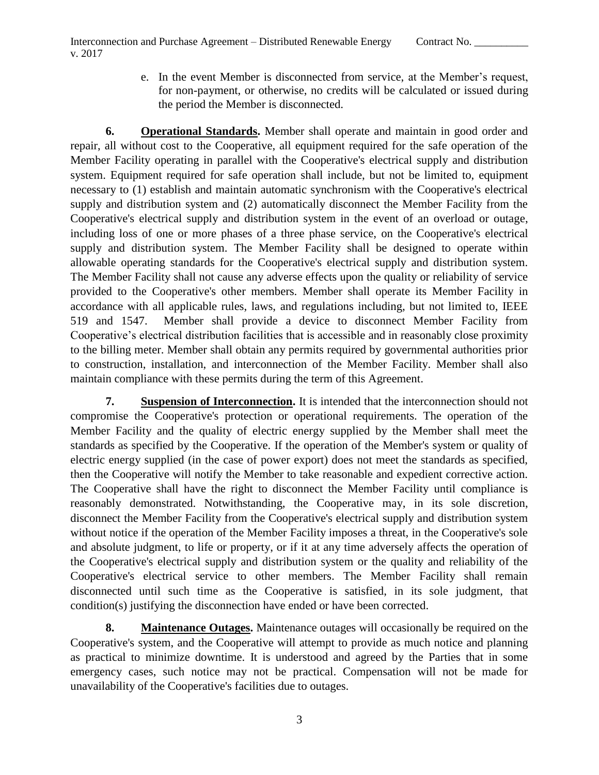for non-payment, or otherwise, no credits will be calculated or issued during e. In the event Member is disconnected from service, at the Member's request, the period the Member is disconnected.

 **6. Operational Standards.** Member shall operate and maintain in good order and repair, all without cost to the Cooperative, all equipment required for the safe operation of the Member Facility operating in parallel with the Cooperative's electrical supply and distribution system. Equipment required for safe operation shall include, but not be limited to, equipment supply and distribution system and (2) automatically disconnect the Member Facility from the Cooperative's electrical supply and distribution system in the event of an overload or outage, including loss of one or more phases of a three phase service, on the Cooperative's electrical supply and distribution system. The Member Facility shall be designed to operate within The Member Facility shall not cause any adverse effects upon the quality or reliability of service provided to the Cooperative's other members. Member shall operate its Member Facility in accordance with all applicable rules, laws, and regulations including, but not limited to, IEEE 519 and 1547. to the billing meter. Member shall obtain any permits required by governmental authorities prior to construction, installation, and interconnection of the Member Facility. Member shall also necessary to (1) establish and maintain automatic synchronism with the Cooperative's electrical allowable operating standards for the Cooperative's electrical supply and distribution system. Member shall provide a device to disconnect Member Facility from Cooperative's electrical distribution facilities that is accessible and in reasonably close proximity maintain compliance with these permits during the term of this Agreement.

 Member Facility and the quality of electric energy supplied by the Member shall meet the standards as specified by the Cooperative. If the operation of the Member's system or quality of electric energy supplied (in the case of power export) does not meet the standards as specified, then the Cooperative will notify the Member to take reasonable and expedient corrective action. The Cooperative shall have the right to disconnect the Member Facility until compliance is disconnect the Member Facility from the Cooperative's electrical supply and distribution system without notice if the operation of the Member Facility imposes a threat, in the Cooperative's sole and absolute judgment, to life or property, or if it at any time adversely affects the operation of Cooperative's electrical service to other members. The Member Facility shall remain **7. Suspension of Interconnection.** It is intended that the interconnection should not compromise the Cooperative's protection or operational requirements. The operation of the reasonably demonstrated. Notwithstanding, the Cooperative may, in its sole discretion, the Cooperative's electrical supply and distribution system or the quality and reliability of the disconnected until such time as the Cooperative is satisfied, in its sole judgment, that condition(s) justifying the disconnection have ended or have been corrected.

**8.** Maintenance Outages. Maintenance outages will occasionally be required on the Cooperative's system, and the Cooperative will attempt to provide as much notice and planning as practical to minimize downtime. It is understood and agreed by the Parties that in some emergency cases, such notice may not be practical. Compensation will not be made for unavailability of the Cooperative's facilities due to outages.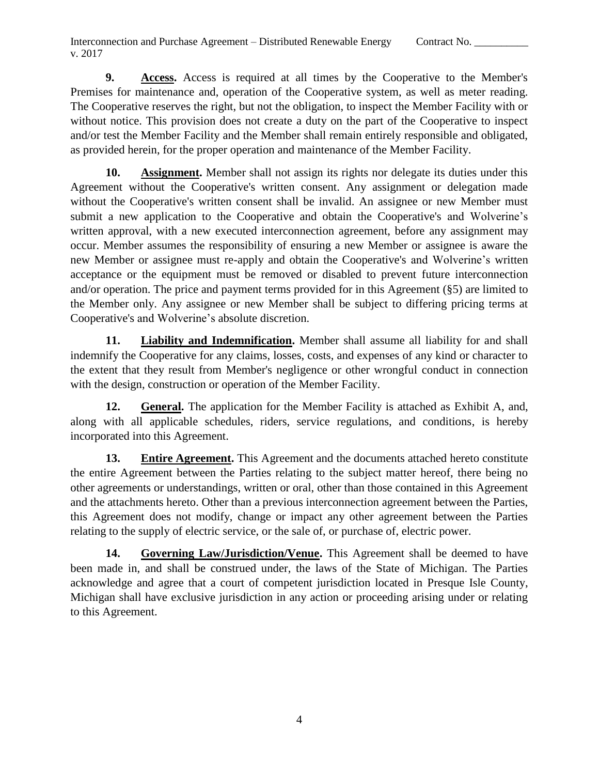Interconnection and Purchase Agreement – Distributed Renewable Energy Contract No. v. 2017

**9.** Access. Access is required at all times by the Cooperative to the Member's Premises for maintenance and, operation of the Cooperative system, as well as meter reading. The Cooperative reserves the right, but not the obligation, to inspect the Member Facility with or without notice. This provision does not create a duty on the part of the Cooperative to inspect and/or test the Member Facility and the Member shall remain entirely responsible and obligated, as provided herein, for the proper operation and maintenance of the Member Facility.

10. Assignment. Member shall not assign its rights nor delegate its duties under this without the Cooperative's written consent shall be invalid. An assignee or new Member must submit a new application to the Cooperative and obtain the Cooperative's and Wolverine's written approval, with a new executed interconnection agreement, before any assignment may occur. Member assumes the responsibility of ensuring a new Member or assignee is aware the new Member or assignee must re-apply and obtain the Cooperative's and Wolverine's written acceptance or the equipment must be removed or disabled to prevent future interconnection and/or operation. The price and payment terms provided for in this Agreement (§5) are limited to the Member only. Any assignee or new Member shall be subject to differing pricing terms at Agreement without the Cooperative's written consent. Any assignment or delegation made Cooperative's and Wolverine's absolute discretion.

 **11. Liability and Indemnification.** Member shall assume all liability for and shall indemnify the Cooperative for any claims, losses, costs, and expenses of any kind or character to the extent that they result from Member's negligence or other wrongful conduct in connection with the design, construction or operation of the Member Facility.

12. **General.** The application for the Member Facility is attached as Exhibit A, and, along with all applicable schedules, riders, service regulations, and conditions, is hereby incorporated into this Agreement.

 $13.$  the entire Agreement between the Parties relating to the subject matter hereof, there being no **Entire Agreement.** This Agreement and the documents attached hereto constitute other agreements or understandings, written or oral, other than those contained in this Agreement and the attachments hereto. Other than a previous interconnection agreement between the Parties, this Agreement does not modify, change or impact any other agreement between the Parties relating to the supply of electric service, or the sale of, or purchase of, electric power.

14. Governing Law/Jurisdiction/Venue. This Agreement shall be deemed to have been made in, and shall be construed under, the laws of the State of Michigan. The Parties acknowledge and agree that a court of competent jurisdiction located in Presque Isle County, Michigan shall have exclusive jurisdiction in any action or proceeding arising under or relating to this Agreement.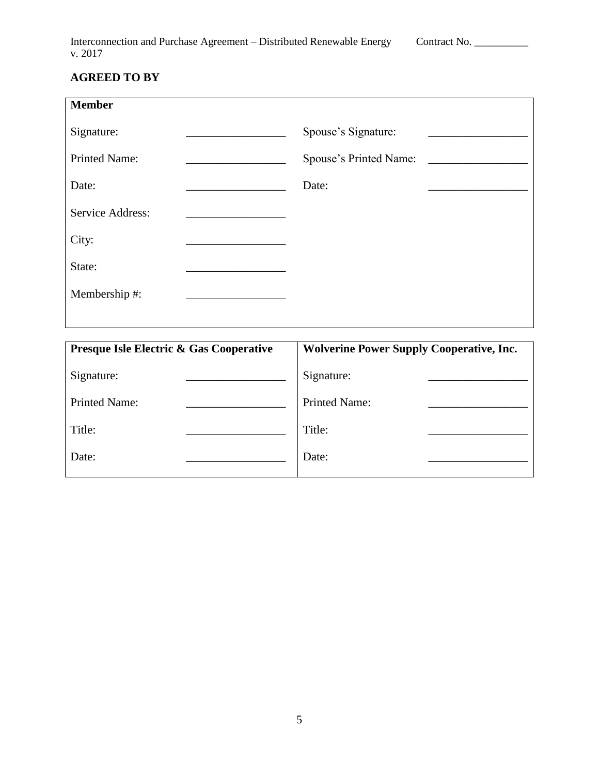| Interconnection and Purchase Agreement - Distributed Renewable Energy | Contract No. |
|-----------------------------------------------------------------------|--------------|
| v. 2017                                                               |              |

# **AGREED TO BY**

| <b>Member</b>           |                        |  |
|-------------------------|------------------------|--|
| Signature:              | Spouse's Signature:    |  |
| <b>Printed Name:</b>    | Spouse's Printed Name: |  |
| Date:                   | Date:                  |  |
| <b>Service Address:</b> |                        |  |
| City:                   |                        |  |
| State:                  |                        |  |
| Membership #:           |                        |  |
|                         |                        |  |

| <b>Wolverine Power Supply Cooperative, Inc.</b> |  |
|-------------------------------------------------|--|
| Signature:                                      |  |
| <b>Printed Name:</b>                            |  |
| Title:                                          |  |
| Date:                                           |  |
|                                                 |  |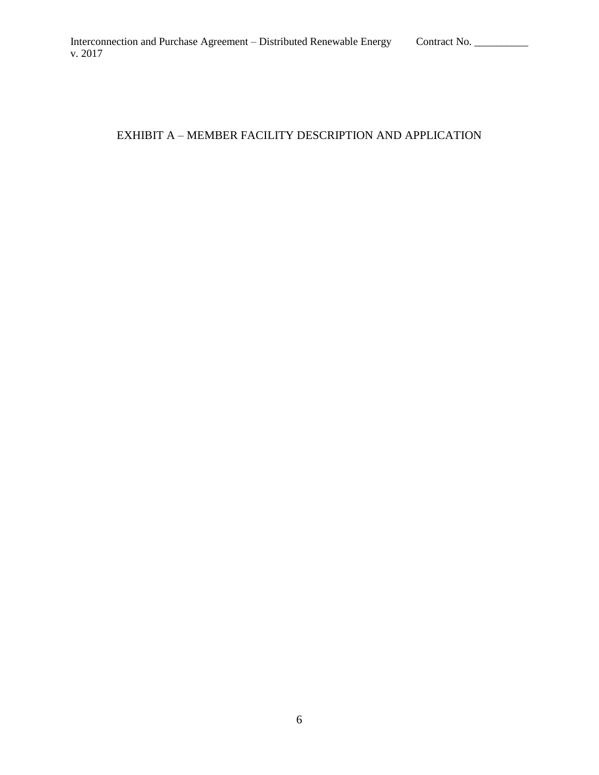## EXHIBIT A – MEMBER FACILITY DESCRIPTION AND APPLICATION